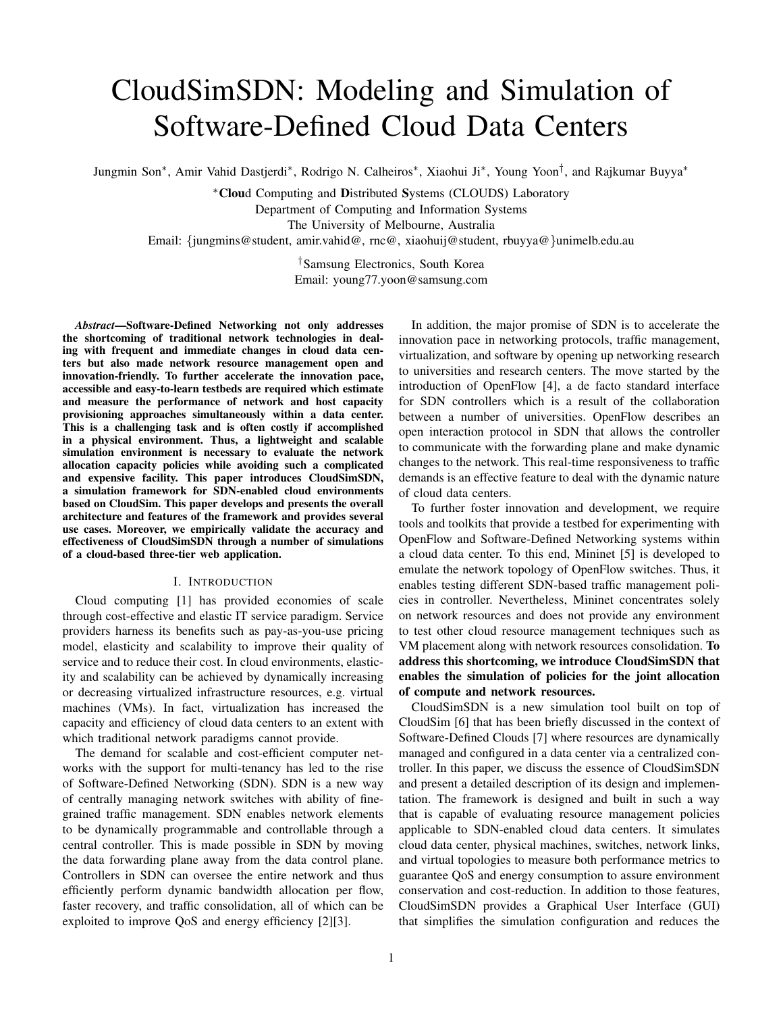# CloudSimSDN: Modeling and Simulation of Software-Defined Cloud Data Centers

Jungmin Son\*, Amir Vahid Dastjerdi\*, Rodrigo N. Calheiros\*, Xiaohui Ji\*, Young Yoon<sup>†</sup>, and Rajkumar Buyya\*

<sup>∗</sup>Cloud Computing and Distributed Systems (CLOUDS) Laboratory

Department of Computing and Information Systems

The University of Melbourne, Australia

Email: {jungmins@student, amir.vahid@, rnc@, xiaohuij@student, rbuyya@}unimelb.edu.au

†Samsung Electronics, South Korea Email: young77.yoon@samsung.com

*Abstract*—Software-Defined Networking not only addresses the shortcoming of traditional network technologies in dealing with frequent and immediate changes in cloud data centers but also made network resource management open and innovation-friendly. To further accelerate the innovation pace, accessible and easy-to-learn testbeds are required which estimate and measure the performance of network and host capacity provisioning approaches simultaneously within a data center. This is a challenging task and is often costly if accomplished in a physical environment. Thus, a lightweight and scalable simulation environment is necessary to evaluate the network allocation capacity policies while avoiding such a complicated and expensive facility. This paper introduces CloudSimSDN, a simulation framework for SDN-enabled cloud environments based on CloudSim. This paper develops and presents the overall architecture and features of the framework and provides several use cases. Moreover, we empirically validate the accuracy and effectiveness of CloudSimSDN through a number of simulations of a cloud-based three-tier web application.

## I. INTRODUCTION

Cloud computing [1] has provided economies of scale through cost-effective and elastic IT service paradigm. Service providers harness its benefits such as pay-as-you-use pricing model, elasticity and scalability to improve their quality of service and to reduce their cost. In cloud environments, elasticity and scalability can be achieved by dynamically increasing or decreasing virtualized infrastructure resources, e.g. virtual machines (VMs). In fact, virtualization has increased the capacity and efficiency of cloud data centers to an extent with which traditional network paradigms cannot provide.

The demand for scalable and cost-efficient computer networks with the support for multi-tenancy has led to the rise of Software-Defined Networking (SDN). SDN is a new way of centrally managing network switches with ability of finegrained traffic management. SDN enables network elements to be dynamically programmable and controllable through a central controller. This is made possible in SDN by moving the data forwarding plane away from the data control plane. Controllers in SDN can oversee the entire network and thus efficiently perform dynamic bandwidth allocation per flow, faster recovery, and traffic consolidation, all of which can be exploited to improve QoS and energy efficiency [2][3].

In addition, the major promise of SDN is to accelerate the innovation pace in networking protocols, traffic management, virtualization, and software by opening up networking research to universities and research centers. The move started by the introduction of OpenFlow [4], a de facto standard interface for SDN controllers which is a result of the collaboration between a number of universities. OpenFlow describes an open interaction protocol in SDN that allows the controller to communicate with the forwarding plane and make dynamic changes to the network. This real-time responsiveness to traffic demands is an effective feature to deal with the dynamic nature of cloud data centers.

To further foster innovation and development, we require tools and toolkits that provide a testbed for experimenting with OpenFlow and Software-Defined Networking systems within a cloud data center. To this end, Mininet [5] is developed to emulate the network topology of OpenFlow switches. Thus, it enables testing different SDN-based traffic management policies in controller. Nevertheless, Mininet concentrates solely on network resources and does not provide any environment to test other cloud resource management techniques such as VM placement along with network resources consolidation. To address this shortcoming, we introduce CloudSimSDN that enables the simulation of policies for the joint allocation of compute and network resources.

CloudSimSDN is a new simulation tool built on top of CloudSim [6] that has been briefly discussed in the context of Software-Defined Clouds [7] where resources are dynamically managed and configured in a data center via a centralized controller. In this paper, we discuss the essence of CloudSimSDN and present a detailed description of its design and implementation. The framework is designed and built in such a way that is capable of evaluating resource management policies applicable to SDN-enabled cloud data centers. It simulates cloud data center, physical machines, switches, network links, and virtual topologies to measure both performance metrics to guarantee QoS and energy consumption to assure environment conservation and cost-reduction. In addition to those features, CloudSimSDN provides a Graphical User Interface (GUI) that simplifies the simulation configuration and reduces the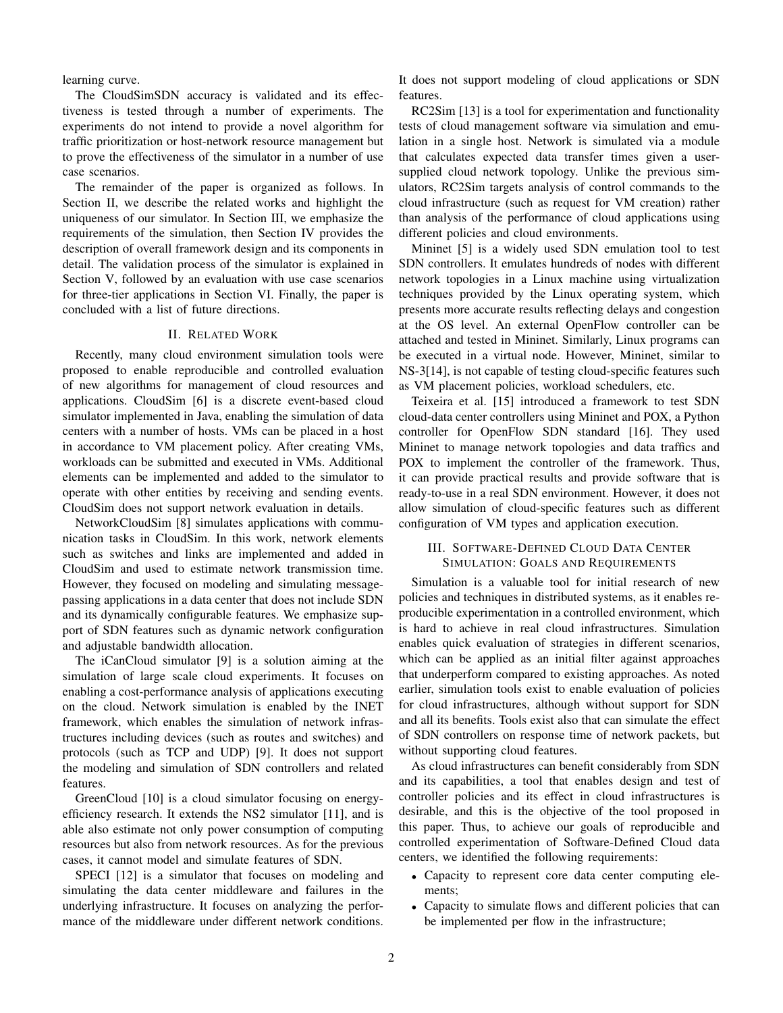learning curve.

The CloudSimSDN accuracy is validated and its effectiveness is tested through a number of experiments. The experiments do not intend to provide a novel algorithm for traffic prioritization or host-network resource management but to prove the effectiveness of the simulator in a number of use case scenarios.

The remainder of the paper is organized as follows. In Section II, we describe the related works and highlight the uniqueness of our simulator. In Section III, we emphasize the requirements of the simulation, then Section IV provides the description of overall framework design and its components in detail. The validation process of the simulator is explained in Section V, followed by an evaluation with use case scenarios for three-tier applications in Section VI. Finally, the paper is concluded with a list of future directions.

## II. RELATED WORK

Recently, many cloud environment simulation tools were proposed to enable reproducible and controlled evaluation of new algorithms for management of cloud resources and applications. CloudSim [6] is a discrete event-based cloud simulator implemented in Java, enabling the simulation of data centers with a number of hosts. VMs can be placed in a host in accordance to VM placement policy. After creating VMs, workloads can be submitted and executed in VMs. Additional elements can be implemented and added to the simulator to operate with other entities by receiving and sending events. CloudSim does not support network evaluation in details.

NetworkCloudSim [8] simulates applications with communication tasks in CloudSim. In this work, network elements such as switches and links are implemented and added in CloudSim and used to estimate network transmission time. However, they focused on modeling and simulating messagepassing applications in a data center that does not include SDN and its dynamically configurable features. We emphasize support of SDN features such as dynamic network configuration and adjustable bandwidth allocation.

The iCanCloud simulator [9] is a solution aiming at the simulation of large scale cloud experiments. It focuses on enabling a cost-performance analysis of applications executing on the cloud. Network simulation is enabled by the INET framework, which enables the simulation of network infrastructures including devices (such as routes and switches) and protocols (such as TCP and UDP) [9]. It does not support the modeling and simulation of SDN controllers and related features.

GreenCloud [10] is a cloud simulator focusing on energyefficiency research. It extends the NS2 simulator [11], and is able also estimate not only power consumption of computing resources but also from network resources. As for the previous cases, it cannot model and simulate features of SDN.

SPECI [12] is a simulator that focuses on modeling and simulating the data center middleware and failures in the underlying infrastructure. It focuses on analyzing the performance of the middleware under different network conditions. It does not support modeling of cloud applications or SDN features.

RC2Sim [13] is a tool for experimentation and functionality tests of cloud management software via simulation and emulation in a single host. Network is simulated via a module that calculates expected data transfer times given a usersupplied cloud network topology. Unlike the previous simulators, RC2Sim targets analysis of control commands to the cloud infrastructure (such as request for VM creation) rather than analysis of the performance of cloud applications using different policies and cloud environments.

Mininet [5] is a widely used SDN emulation tool to test SDN controllers. It emulates hundreds of nodes with different network topologies in a Linux machine using virtualization techniques provided by the Linux operating system, which presents more accurate results reflecting delays and congestion at the OS level. An external OpenFlow controller can be attached and tested in Mininet. Similarly, Linux programs can be executed in a virtual node. However, Mininet, similar to NS-3[14], is not capable of testing cloud-specific features such as VM placement policies, workload schedulers, etc.

Teixeira et al. [15] introduced a framework to test SDN cloud-data center controllers using Mininet and POX, a Python controller for OpenFlow SDN standard [16]. They used Mininet to manage network topologies and data traffics and POX to implement the controller of the framework. Thus, it can provide practical results and provide software that is ready-to-use in a real SDN environment. However, it does not allow simulation of cloud-specific features such as different configuration of VM types and application execution.

# III. SOFTWARE-DEFINED CLOUD DATA CENTER SIMULATION: GOALS AND REQUIREMENTS

Simulation is a valuable tool for initial research of new policies and techniques in distributed systems, as it enables reproducible experimentation in a controlled environment, which is hard to achieve in real cloud infrastructures. Simulation enables quick evaluation of strategies in different scenarios, which can be applied as an initial filter against approaches that underperform compared to existing approaches. As noted earlier, simulation tools exist to enable evaluation of policies for cloud infrastructures, although without support for SDN and all its benefits. Tools exist also that can simulate the effect of SDN controllers on response time of network packets, but without supporting cloud features.

As cloud infrastructures can benefit considerably from SDN and its capabilities, a tool that enables design and test of controller policies and its effect in cloud infrastructures is desirable, and this is the objective of the tool proposed in this paper. Thus, to achieve our goals of reproducible and controlled experimentation of Software-Defined Cloud data centers, we identified the following requirements:

- Capacity to represent core data center computing elements;
- Capacity to simulate flows and different policies that can be implemented per flow in the infrastructure;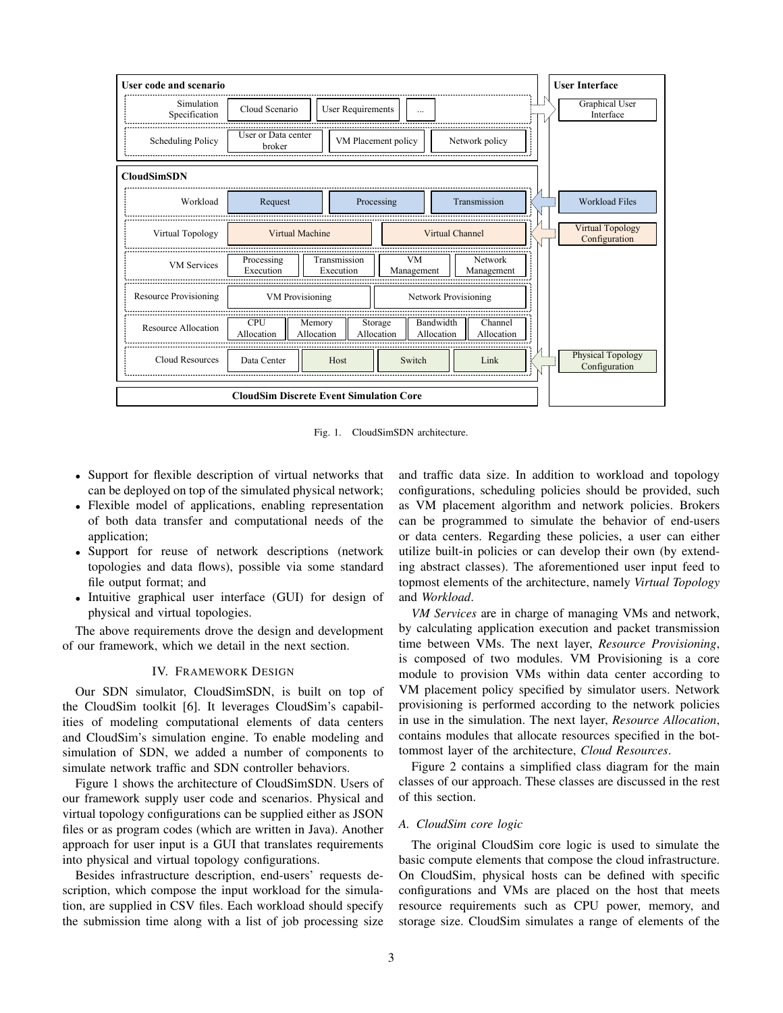

Fig. 1. CloudSimSDN architecture.

- Support for flexible description of virtual networks that can be deployed on top of the simulated physical network;
- Flexible model of applications, enabling representation of both data transfer and computational needs of the application;
- Support for reuse of network descriptions (network topologies and data flows), possible via some standard file output format; and
- Intuitive graphical user interface (GUI) for design of physical and virtual topologies.

The above requirements drove the design and development of our framework, which we detail in the next section.

# IV. FRAMEWORK DESIGN

Our SDN simulator, CloudSimSDN, is built on top of the CloudSim toolkit [6]. It leverages CloudSim's capabilities of modeling computational elements of data centers and CloudSim's simulation engine. To enable modeling and simulation of SDN, we added a number of components to simulate network traffic and SDN controller behaviors.

Figure 1 shows the architecture of CloudSimSDN. Users of our framework supply user code and scenarios. Physical and virtual topology configurations can be supplied either as JSON files or as program codes (which are written in Java). Another approach for user input is a GUI that translates requirements into physical and virtual topology configurations.

Besides infrastructure description, end-users' requests description, which compose the input workload for the simulation, are supplied in CSV files. Each workload should specify the submission time along with a list of job processing size

and traffic data size. In addition to workload and topology configurations, scheduling policies should be provided, such as VM placement algorithm and network policies. Brokers can be programmed to simulate the behavior of end-users or data centers. Regarding these policies, a user can either utilize built-in policies or can develop their own (by extending abstract classes). The aforementioned user input feed to topmost elements of the architecture, namely *Virtual Topology* and *Workload*.

*VM Services* are in charge of managing VMs and network, by calculating application execution and packet transmission time between VMs. The next layer, *Resource Provisioning*, is composed of two modules. VM Provisioning is a core module to provision VMs within data center according to VM placement policy specified by simulator users. Network provisioning is performed according to the network policies in use in the simulation. The next layer, *Resource Allocation*, contains modules that allocate resources specified in the bottommost layer of the architecture, *Cloud Resources*.

Figure 2 contains a simplified class diagram for the main classes of our approach. These classes are discussed in the rest of this section.

# *A. CloudSim core logic*

The original CloudSim core logic is used to simulate the basic compute elements that compose the cloud infrastructure. On CloudSim, physical hosts can be defined with specific configurations and VMs are placed on the host that meets resource requirements such as CPU power, memory, and storage size. CloudSim simulates a range of elements of the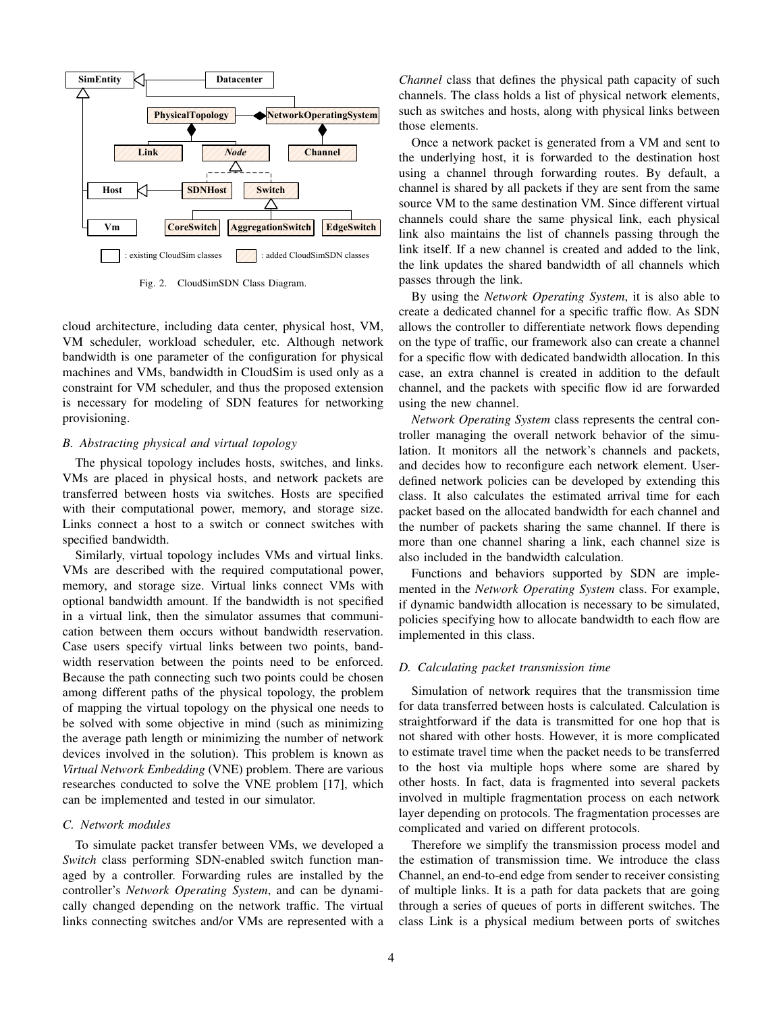

Fig. 2. CloudSimSDN Class Diagram.

cloud architecture, including data center, physical host, VM, VM scheduler, workload scheduler, etc. Although network bandwidth is one parameter of the configuration for physical machines and VMs, bandwidth in CloudSim is used only as a constraint for VM scheduler, and thus the proposed extension is necessary for modeling of SDN features for networking provisioning.

# *B. Abstracting physical and virtual topology*

The physical topology includes hosts, switches, and links. VMs are placed in physical hosts, and network packets are transferred between hosts via switches. Hosts are specified with their computational power, memory, and storage size. Links connect a host to a switch or connect switches with specified bandwidth.

Similarly, virtual topology includes VMs and virtual links. VMs are described with the required computational power, memory, and storage size. Virtual links connect VMs with optional bandwidth amount. If the bandwidth is not specified in a virtual link, then the simulator assumes that communication between them occurs without bandwidth reservation. Case users specify virtual links between two points, bandwidth reservation between the points need to be enforced. Because the path connecting such two points could be chosen among different paths of the physical topology, the problem of mapping the virtual topology on the physical one needs to be solved with some objective in mind (such as minimizing the average path length or minimizing the number of network devices involved in the solution). This problem is known as *Virtual Network Embedding* (VNE) problem. There are various researches conducted to solve the VNE problem [17], which can be implemented and tested in our simulator.

# *C. Network modules*

To simulate packet transfer between VMs, we developed a *Switch* class performing SDN-enabled switch function managed by a controller. Forwarding rules are installed by the controller's *Network Operating System*, and can be dynamically changed depending on the network traffic. The virtual links connecting switches and/or VMs are represented with a

*Channel* class that defines the physical path capacity of such channels. The class holds a list of physical network elements, such as switches and hosts, along with physical links between those elements.

Once a network packet is generated from a VM and sent to the underlying host, it is forwarded to the destination host using a channel through forwarding routes. By default, a channel is shared by all packets if they are sent from the same source VM to the same destination VM. Since different virtual channels could share the same physical link, each physical link also maintains the list of channels passing through the link itself. If a new channel is created and added to the link, the link updates the shared bandwidth of all channels which passes through the link.

By using the *Network Operating System*, it is also able to create a dedicated channel for a specific traffic flow. As SDN allows the controller to differentiate network flows depending on the type of traffic, our framework also can create a channel for a specific flow with dedicated bandwidth allocation. In this case, an extra channel is created in addition to the default channel, and the packets with specific flow id are forwarded using the new channel.

*Network Operating System* class represents the central controller managing the overall network behavior of the simulation. It monitors all the network's channels and packets, and decides how to reconfigure each network element. Userdefined network policies can be developed by extending this class. It also calculates the estimated arrival time for each packet based on the allocated bandwidth for each channel and the number of packets sharing the same channel. If there is more than one channel sharing a link, each channel size is also included in the bandwidth calculation.

Functions and behaviors supported by SDN are implemented in the *Network Operating System* class. For example, if dynamic bandwidth allocation is necessary to be simulated, policies specifying how to allocate bandwidth to each flow are implemented in this class.

#### *D. Calculating packet transmission time*

Simulation of network requires that the transmission time for data transferred between hosts is calculated. Calculation is straightforward if the data is transmitted for one hop that is not shared with other hosts. However, it is more complicated to estimate travel time when the packet needs to be transferred to the host via multiple hops where some are shared by other hosts. In fact, data is fragmented into several packets involved in multiple fragmentation process on each network layer depending on protocols. The fragmentation processes are complicated and varied on different protocols.

Therefore we simplify the transmission process model and the estimation of transmission time. We introduce the class Channel, an end-to-end edge from sender to receiver consisting of multiple links. It is a path for data packets that are going through a series of queues of ports in different switches. The class Link is a physical medium between ports of switches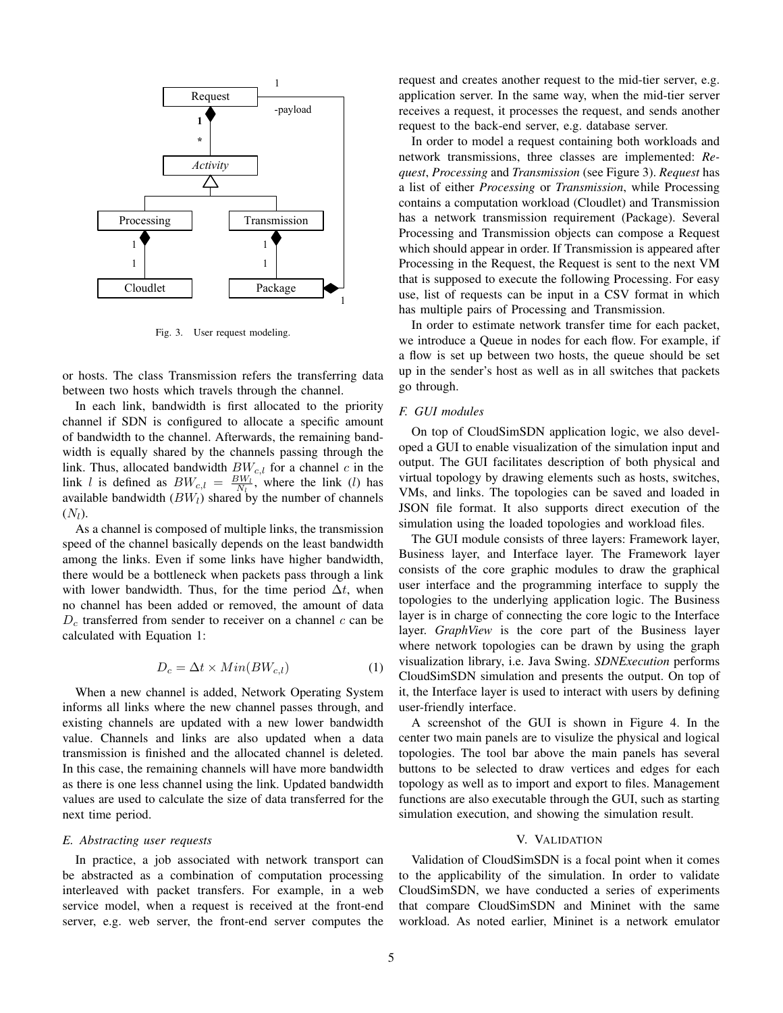

Fig. 3. User request modeling.

or hosts. The class Transmission refers the transferring data between two hosts which travels through the channel.

In each link, bandwidth is first allocated to the priority channel if SDN is configured to allocate a specific amount of bandwidth to the channel. Afterwards, the remaining bandwidth is equally shared by the channels passing through the link. Thus, allocated bandwidth  $BW_{c,l}$  for a channel c in the link l is defined as  $BW_{c,l} = \frac{BW_l}{N_l}$ , where the link (l) has available bandwidth  $(BW_l)$  shared by the number of channels  $(N_l)$ .

As a channel is composed of multiple links, the transmission speed of the channel basically depends on the least bandwidth among the links. Even if some links have higher bandwidth, there would be a bottleneck when packets pass through a link with lower bandwidth. Thus, for the time period  $\Delta t$ , when no channel has been added or removed, the amount of data  $D<sub>c</sub>$  transferred from sender to receiver on a channel  $c$  can be calculated with Equation 1:

$$
D_c = \Delta t \times Min(BW_{c,l})
$$
 (1)

When a new channel is added, Network Operating System informs all links where the new channel passes through, and existing channels are updated with a new lower bandwidth value. Channels and links are also updated when a data transmission is finished and the allocated channel is deleted. In this case, the remaining channels will have more bandwidth as there is one less channel using the link. Updated bandwidth values are used to calculate the size of data transferred for the next time period.

## *E. Abstracting user requests*

In practice, a job associated with network transport can be abstracted as a combination of computation processing interleaved with packet transfers. For example, in a web service model, when a request is received at the front-end server, e.g. web server, the front-end server computes the

request and creates another request to the mid-tier server, e.g. application server. In the same way, when the mid-tier server receives a request, it processes the request, and sends another request to the back-end server, e.g. database server.

In order to model a request containing both workloads and network transmissions, three classes are implemented: *Request*, *Processing* and *Transmission* (see Figure 3). *Request* has a list of either *Processing* or *Transmission*, while Processing contains a computation workload (Cloudlet) and Transmission has a network transmission requirement (Package). Several Processing and Transmission objects can compose a Request which should appear in order. If Transmission is appeared after Processing in the Request, the Request is sent to the next VM that is supposed to execute the following Processing. For easy use, list of requests can be input in a CSV format in which has multiple pairs of Processing and Transmission.

In order to estimate network transfer time for each packet, we introduce a Queue in nodes for each flow. For example, if a flow is set up between two hosts, the queue should be set up in the sender's host as well as in all switches that packets go through.

## *F. GUI modules*

On top of CloudSimSDN application logic, we also developed a GUI to enable visualization of the simulation input and output. The GUI facilitates description of both physical and virtual topology by drawing elements such as hosts, switches, VMs, and links. The topologies can be saved and loaded in JSON file format. It also supports direct execution of the simulation using the loaded topologies and workload files.

The GUI module consists of three layers: Framework layer, Business layer, and Interface layer. The Framework layer consists of the core graphic modules to draw the graphical user interface and the programming interface to supply the topologies to the underlying application logic. The Business layer is in charge of connecting the core logic to the Interface layer. *GraphView* is the core part of the Business layer where network topologies can be drawn by using the graph visualization library, i.e. Java Swing. *SDNExecution* performs CloudSimSDN simulation and presents the output. On top of it, the Interface layer is used to interact with users by defining user-friendly interface.

A screenshot of the GUI is shown in Figure 4. In the center two main panels are to visulize the physical and logical topologies. The tool bar above the main panels has several buttons to be selected to draw vertices and edges for each topology as well as to import and export to files. Management functions are also executable through the GUI, such as starting simulation execution, and showing the simulation result.

#### V. VALIDATION

Validation of CloudSimSDN is a focal point when it comes to the applicability of the simulation. In order to validate CloudSimSDN, we have conducted a series of experiments that compare CloudSimSDN and Mininet with the same workload. As noted earlier, Mininet is a network emulator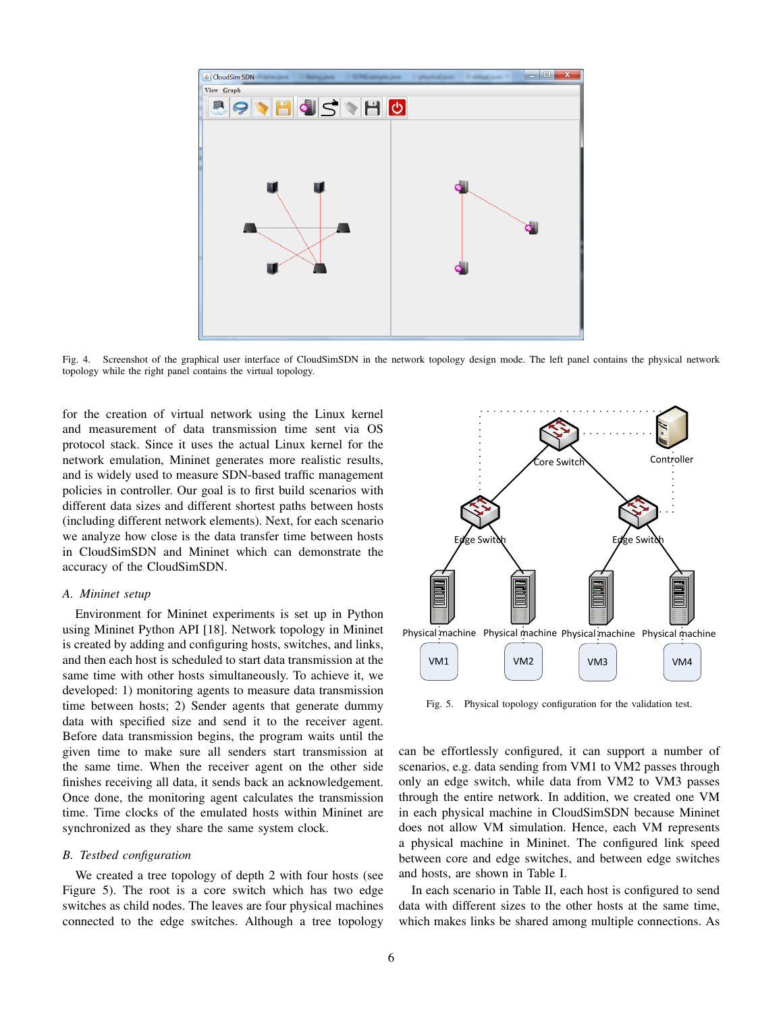

Fig. 4. Screenshot of the graphical user interface of CloudSimSDN in the network topology design mode. The left panel contains the physical network topology while the right panel contains the virtual topology.

for the creation of virtual network using the Linux kernel and measurement of data transmission time sent via OS protocol stack. Since it uses the actual Linux kernel for the network emulation, Mininet generates more realistic results, and is widely used to measure SDN-based traffic management policies in controller. Our goal is to first build scenarios with different data sizes and different shortest paths between hosts (including different network elements). Next, for each scenario we analyze how close is the data transfer time between hosts in CloudSimSDN and Mininet which can demonstrate the accuracy of the CloudSimSDN.

## *A. Mininet setup*

Environment for Mininet experiments is set up in Python using Mininet Python API [18]. Network topology in Mininet is created by adding and configuring hosts, switches, and links, and then each host is scheduled to start data transmission at the same time with other hosts simultaneously. To achieve it, we developed: 1) monitoring agents to measure data transmission time between hosts; 2) Sender agents that generate dummy data with specified size and send it to the receiver agent. Before data transmission begins, the program waits until the given time to make sure all senders start transmission at the same time. When the receiver agent on the other side finishes receiving all data, it sends back an acknowledgement. Once done, the monitoring agent calculates the transmission time. Time clocks of the emulated hosts within Mininet are synchronized as they share the same system clock.

## *B. Testbed configuration*

We created a tree topology of depth 2 with four hosts (see Figure 5). The root is a core switch which has two edge switches as child nodes. The leaves are four physical machines connected to the edge switches. Although a tree topology



Fig. 5. Physical topology configuration for the validation test.

can be effortlessly configured, it can support a number of scenarios, e.g. data sending from VM1 to VM2 passes through only an edge switch, while data from VM2 to VM3 passes through the entire network. In addition, we created one VM in each physical machine in CloudSimSDN because Mininet does not allow VM simulation. Hence, each VM represents a physical machine in Mininet. The configured link speed between core and edge switches, and between edge switches and hosts, are shown in Table I.

In each scenario in Table II, each host is configured to send data with different sizes to the other hosts at the same time, which makes links be shared among multiple connections. As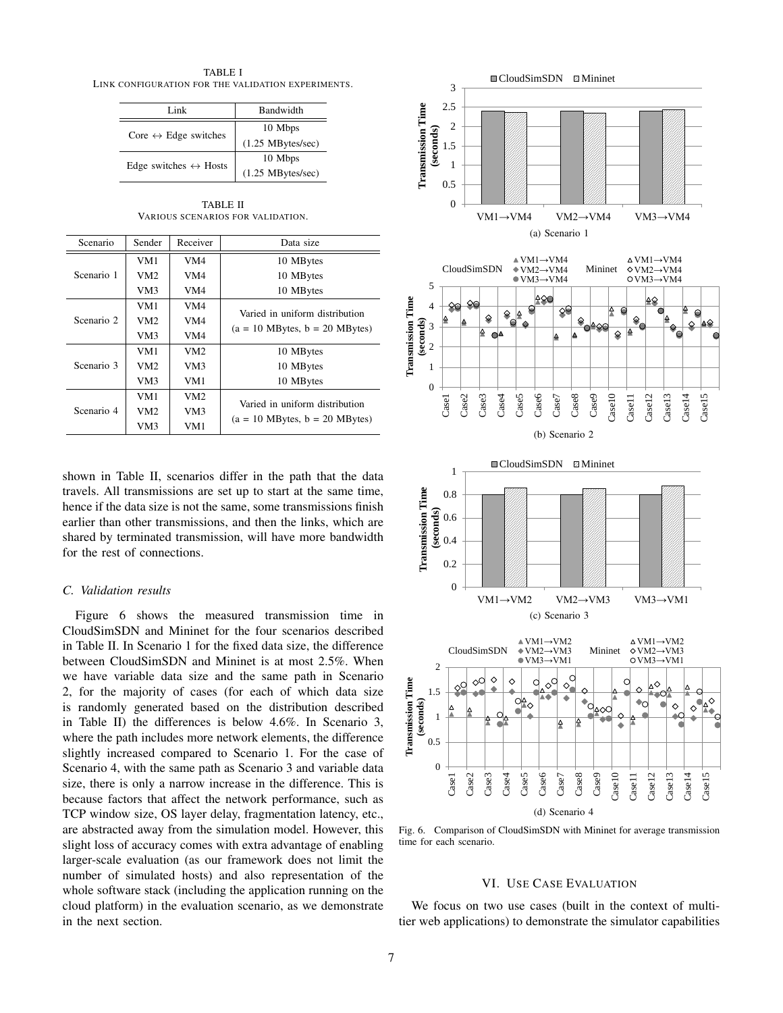TABLE I LINK CONFIGURATION FOR THE VALIDATION EXPERIMENTS.

| Link                                  | Bandwidth                   |
|---------------------------------------|-----------------------------|
| Core $\leftrightarrow$ Edge switches  | 10 Mbps                     |
|                                       | $(1.25 \text{ MBytes/sec})$ |
| Edge switches $\leftrightarrow$ Hosts | 10 Mbps                     |
|                                       | $(1.25 \text{ MBytes/sec})$ |

TABLE II VARIOUS SCENARIOS FOR VALIDATION.

| Scenario   | Sender          | Receiver        | Data size                          |
|------------|-----------------|-----------------|------------------------------------|
| Scenario 1 | VM1             | VM4             | 10 MBytes                          |
|            | VM <sub>2</sub> | VM4             | 10 MBytes                          |
|            | VM3             | VM4             | 10 MBytes                          |
|            | VM1             | VM4             | Varied in uniform distribution     |
| Scenario 2 | VM2             | VM4             |                                    |
|            | VM3             | VM4             | $(a = 10$ MBytes, $b = 20$ MBytes) |
| Scenario 3 | VM1             | VM <sub>2</sub> | 10 MBytes                          |
|            | VM2             | VM3             | 10 MBytes                          |
|            | VM3             | VM1             | 10 MBytes                          |
| Scenario 4 | VM1             | VM2             | Varied in uniform distribution     |
|            | VM2.            | VM3             |                                    |
|            | VM3             | VM1             | $(a = 10$ MBytes, $b = 20$ MBytes) |

shown in Table II, scenarios differ in the path that the data travels. All transmissions are set up to start at the same time, hence if the data size is not the same, some transmissions finish earlier than other transmissions, and then the links, which are shared by terminated transmission, will have more bandwidth for the rest of connections.

## *C. Validation results*

Figure 6 shows the measured transmission time in CloudSimSDN and Mininet for the four scenarios described in Table II. In Scenario 1 for the fixed data size, the difference between CloudSimSDN and Mininet is at most 2.5%. When we have variable data size and the same path in Scenario 2, for the majority of cases (for each of which data size is randomly generated based on the distribution described in Table II) the differences is below 4.6%. In Scenario 3, where the path includes more network elements, the difference slightly increased compared to Scenario 1. For the case of Scenario 4, with the same path as Scenario 3 and variable data size, there is only a narrow increase in the difference. This is because factors that affect the network performance, such as TCP window size, OS layer delay, fragmentation latency, etc., are abstracted away from the simulation model. However, this slight loss of accuracy comes with extra advantage of enabling larger-scale evaluation (as our framework does not limit the number of simulated hosts) and also representation of the whole software stack (including the application running on the cloud platform) in the evaluation scenario, as we demonstrate in the next section.



Fig. 6. Comparison of CloudSimSDN with Mininet for average transmission time for each scenario.

# VI. USE CASE EVALUATION

We focus on two use cases (built in the context of multitier web applications) to demonstrate the simulator capabilities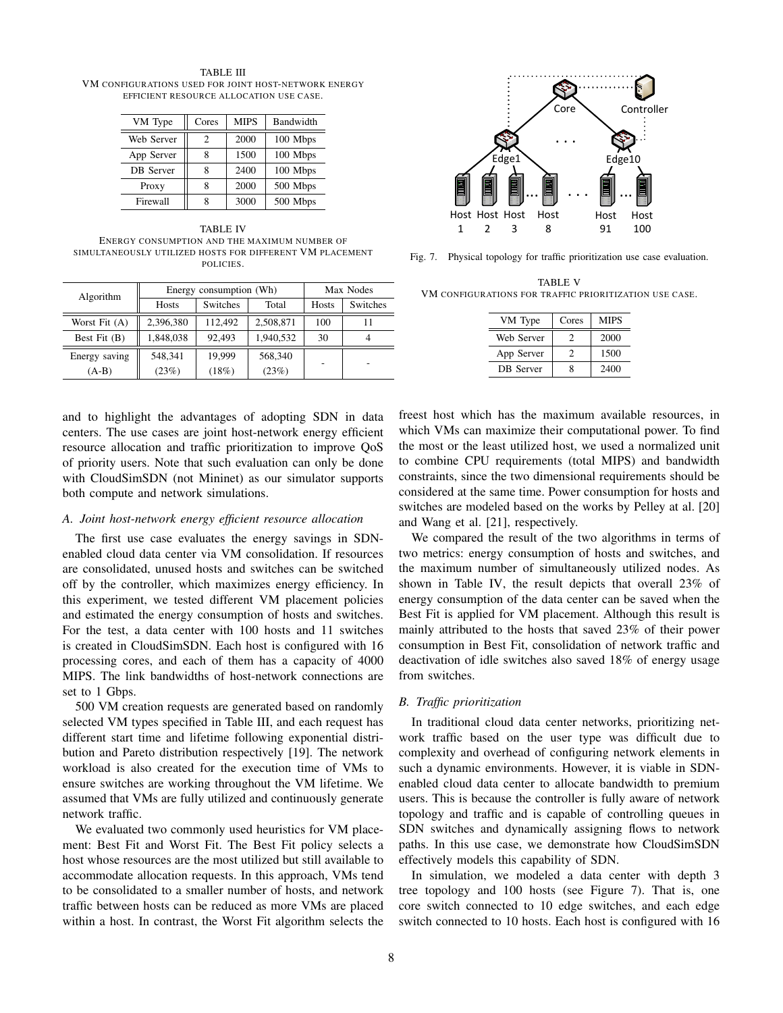TABLE III VM CONFIGURATIONS USED FOR JOINT HOST-NETWORK ENERGY EFFICIENT RESOURCE ALLOCATION USE CASE.

| VM Type    | Cores | <b>MIPS</b> | Bandwidth |
|------------|-------|-------------|-----------|
| Web Server | 2     | 2000        | 100 Mbps  |
| App Server |       | 1500        | 100 Mbps  |
| DB Server  |       | 2400        | 100 Mbps  |
| Proxy      |       | 2000        | 500 Mbps  |
| Firewall   |       | 3000        | 500 Mbps  |

TABLE IV ENERGY CONSUMPTION AND THE MAXIMUM NUMBER OF SIMULTANEOUSLY UTILIZED HOSTS FOR DIFFERENT VM PLACEMENT POLICIES.

| Algorithm     |              | Energy consumption (Wh) | Max Nodes |              |                 |
|---------------|--------------|-------------------------|-----------|--------------|-----------------|
|               | <b>Hosts</b> | <b>Switches</b>         | Total     | <b>Hosts</b> | <b>Switches</b> |
| Worst Fit (A) | 2,396,380    | 112,492                 | 2,508,871 | 100          | 11              |
| Best Fit (B)  | 1,848,038    | 92.493                  | 1,940,532 | 30           |                 |
| Energy saving | 548,341      | 19,999                  | 568,340   |              |                 |
| $(A-B)$       | (23%)        | (18%)                   | (23%)     | ۰            |                 |



Fig. 7. Physical topology for traffic prioritization use case evaluation.

TABLE V VM CONFIGURATIONS FOR TRAFFIC PRIORITIZATION USE CASE.

| VM Type    | Cores | <b>MIPS</b> |
|------------|-------|-------------|
| Web Server |       | 2000        |
| App Server | ')    | 1500        |
| DB Server  |       | 2400        |

and to highlight the advantages of adopting SDN in data centers. The use cases are joint host-network energy efficient resource allocation and traffic prioritization to improve QoS of priority users. Note that such evaluation can only be done with CloudSimSDN (not Mininet) as our simulator supports both compute and network simulations.

## *A. Joint host-network energy efficient resource allocation*

The first use case evaluates the energy savings in SDNenabled cloud data center via VM consolidation. If resources are consolidated, unused hosts and switches can be switched off by the controller, which maximizes energy efficiency. In this experiment, we tested different VM placement policies and estimated the energy consumption of hosts and switches. For the test, a data center with 100 hosts and 11 switches is created in CloudSimSDN. Each host is configured with 16 processing cores, and each of them has a capacity of 4000 MIPS. The link bandwidths of host-network connections are set to 1 Gbps.

500 VM creation requests are generated based on randomly selected VM types specified in Table III, and each request has different start time and lifetime following exponential distribution and Pareto distribution respectively [19]. The network workload is also created for the execution time of VMs to ensure switches are working throughout the VM lifetime. We assumed that VMs are fully utilized and continuously generate network traffic.

We evaluated two commonly used heuristics for VM placement: Best Fit and Worst Fit. The Best Fit policy selects a host whose resources are the most utilized but still available to accommodate allocation requests. In this approach, VMs tend to be consolidated to a smaller number of hosts, and network traffic between hosts can be reduced as more VMs are placed within a host. In contrast, the Worst Fit algorithm selects the freest host which has the maximum available resources, in which VMs can maximize their computational power. To find the most or the least utilized host, we used a normalized unit to combine CPU requirements (total MIPS) and bandwidth constraints, since the two dimensional requirements should be considered at the same time. Power consumption for hosts and switches are modeled based on the works by Pelley at al. [20] and Wang et al. [21], respectively.

We compared the result of the two algorithms in terms of two metrics: energy consumption of hosts and switches, and the maximum number of simultaneously utilized nodes. As shown in Table IV, the result depicts that overall 23% of energy consumption of the data center can be saved when the Best Fit is applied for VM placement. Although this result is mainly attributed to the hosts that saved 23% of their power consumption in Best Fit, consolidation of network traffic and deactivation of idle switches also saved 18% of energy usage from switches.

# *B. Traffic prioritization*

In traditional cloud data center networks, prioritizing network traffic based on the user type was difficult due to complexity and overhead of configuring network elements in such a dynamic environments. However, it is viable in SDNenabled cloud data center to allocate bandwidth to premium users. This is because the controller is fully aware of network topology and traffic and is capable of controlling queues in SDN switches and dynamically assigning flows to network paths. In this use case, we demonstrate how CloudSimSDN effectively models this capability of SDN.

In simulation, we modeled a data center with depth 3 tree topology and 100 hosts (see Figure 7). That is, one core switch connected to 10 edge switches, and each edge switch connected to 10 hosts. Each host is configured with 16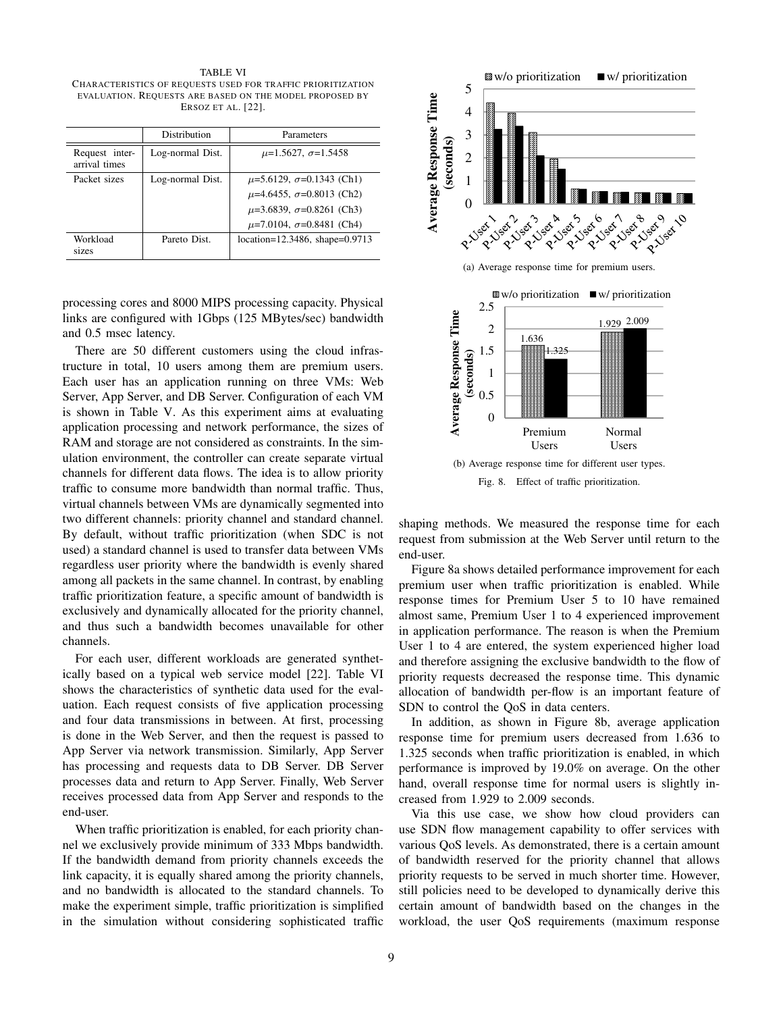TABLE VI CHARACTERISTICS OF REQUESTS USED FOR TRAFFIC PRIORITIZATION EVALUATION. REQUESTS ARE BASED ON THE MODEL PROPOSED BY ERSOZ ET AL. [22].

|                                 | Distribution     | Parameters                            |
|---------------------------------|------------------|---------------------------------------|
| Request inter-<br>arrival times | Log-normal Dist. | $\mu$ =1.5627, $\sigma$ =1.5458       |
| Packet sizes                    | Log-normal Dist. | $\mu$ =5.6129, $\sigma$ =0.1343 (Ch1) |
|                                 |                  | $\mu$ =4.6455, $\sigma$ =0.8013 (Ch2) |
|                                 |                  | $\mu$ =3.6839, $\sigma$ =0.8261 (Ch3) |
|                                 |                  | $\mu$ =7.0104, $\sigma$ =0.8481 (Ch4) |
| Workload<br>sizes               | Pareto Dist.     | location=12.3486, shape=0.9713        |

processing cores and 8000 MIPS processing capacity. Physical links are configured with 1Gbps (125 MBytes/sec) bandwidth and 0.5 msec latency.

There are 50 different customers using the cloud infrastructure in total, 10 users among them are premium users. Each user has an application running on three VMs: Web Server, App Server, and DB Server. Configuration of each VM is shown in Table V. As this experiment aims at evaluating application processing and network performance, the sizes of RAM and storage are not considered as constraints. In the simulation environment, the controller can create separate virtual channels for different data flows. The idea is to allow priority traffic to consume more bandwidth than normal traffic. Thus, virtual channels between VMs are dynamically segmented into two different channels: priority channel and standard channel. By default, without traffic prioritization (when SDC is not used) a standard channel is used to transfer data between VMs regardless user priority where the bandwidth is evenly shared among all packets in the same channel. In contrast, by enabling traffic prioritization feature, a specific amount of bandwidth is exclusively and dynamically allocated for the priority channel, and thus such a bandwidth becomes unavailable for other channels.

For each user, different workloads are generated synthetically based on a typical web service model [22]. Table VI shows the characteristics of synthetic data used for the evaluation. Each request consists of five application processing and four data transmissions in between. At first, processing is done in the Web Server, and then the request is passed to App Server via network transmission. Similarly, App Server has processing and requests data to DB Server. DB Server processes data and return to App Server. Finally, Web Server receives processed data from App Server and responds to the end-user.

When traffic prioritization is enabled, for each priority channel we exclusively provide minimum of 333 Mbps bandwidth. If the bandwidth demand from priority channels exceeds the link capacity, it is equally shared among the priority channels, and no bandwidth is allocated to the standard channels. To make the experiment simple, traffic prioritization is simplified in the simulation without considering sophisticated traffic



shaping methods. We measured the response time for each request from submission at the Web Server until return to the end-user.

Figure 8a shows detailed performance improvement for each premium user when traffic prioritization is enabled. While response times for Premium User 5 to 10 have remained almost same, Premium User 1 to 4 experienced improvement in application performance. The reason is when the Premium User 1 to 4 are entered, the system experienced higher load and therefore assigning the exclusive bandwidth to the flow of priority requests decreased the response time. This dynamic allocation of bandwidth per-flow is an important feature of SDN to control the QoS in data centers.

In addition, as shown in Figure 8b, average application response time for premium users decreased from 1.636 to 1.325 seconds when traffic prioritization is enabled, in which performance is improved by 19.0% on average. On the other hand, overall response time for normal users is slightly increased from 1.929 to 2.009 seconds.

Via this use case, we show how cloud providers can use SDN flow management capability to offer services with various QoS levels. As demonstrated, there is a certain amount of bandwidth reserved for the priority channel that allows priority requests to be served in much shorter time. However, still policies need to be developed to dynamically derive this certain amount of bandwidth based on the changes in the workload, the user QoS requirements (maximum response